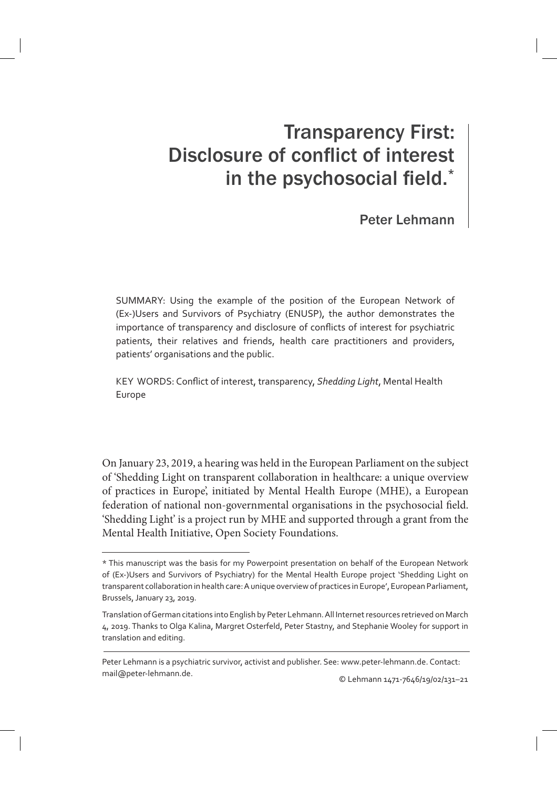# Transparency First: Disclosure of conflict of interest in the psychosocial field. $*$

Peter Lehmann

SUMMARY: Using the example of the position of the European Network of (Ex-)Users and Survivors of Psychiatry (ENUSP), the author demonstrates the importance of transparency and disclosure of conflicts of interest for psychiatric patients, their relatives and friends, health care practitioners and providers, patients' organisations and the public.

KEY WORDS: Conflict of interest, transparency, Shedding Light, Mental Health Europe

On January 23, 2019, a hearing was held in the European Parliament on the subject of 'Shedding Light on transparent collaboration in healthcare: a unique overview of practices in Europe', initiated by Mental Health Europe (MHE), a European federation of national non-governmental organisations in the psychosocial field. 'Shedding Light' is a project run by MHE and supported through a grant from the Mental Health Initiative, Open Society Foundations.

© Lehmann 1471-7646/19/02/131–21

<sup>\*</sup> This manuscript was the basis for my Powerpoint presentation on behalf of the European Network of (Ex-)Users and Survivors of Psychiatry) for the Mental Health Europe project 'Shedding Light on transparent collaboration in health care: A unique overview of practices in Europe', European Parliament, Brussels, January 23, 2019.

Translation of German citations into English by Peter Lehmann. All Internet resources retrieved on March 4, 2019. Thanks to Olga Kalina, Margret Osterfeld, Peter Stastny, and Stephanie Wooley for support in translation and editing.

Peter Lehmann is a psychiatric survivor, activist and publisher. See: www.peter-lehmann.de. Contact: mail@peter-lehmann.de.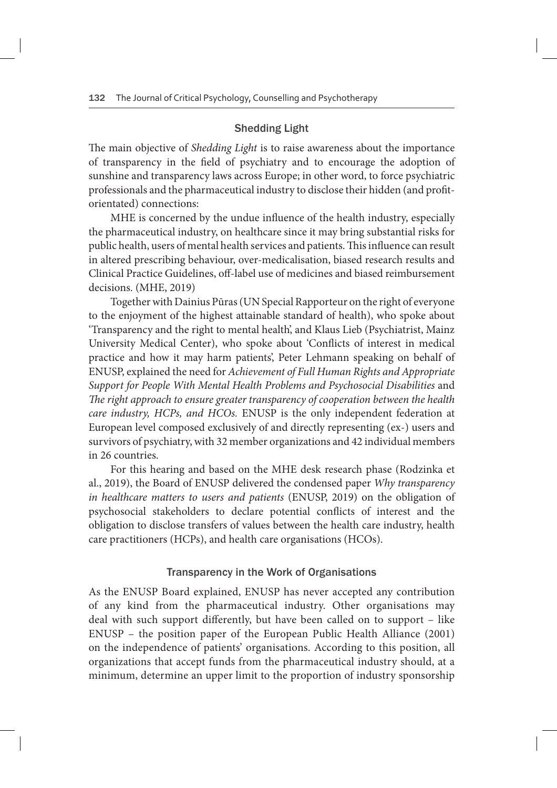# Shedding Light

The main objective of Shedding Light is to raise awareness about the importance of transparency in the field of psychiatry and to encourage the adoption of sunshine and transparency laws across Europe; in other word, to force psychiatric professionals and the pharmaceutical industry to disclose their hidden (and profitorientated) connections:

MHE is concerned by the undue influence of the health industry, especially the pharmaceutical industry, on healthcare since it may bring substantial risks for public health, users of mental health services and patients. This influence can result in altered prescribing behaviour, over-medicalisation, biased research results and Clinical Practice Guidelines, off-label use of medicines and biased reimbursement decisions. (MHE, 2019)

Together with Dainius Pūras (UN Special Rapporteur on the right of everyone to the enjoyment of the highest attainable standard of health), who spoke about 'Transparency and the right to mental health', and Klaus Lieb (Psychiatrist, Mainz University Medical Center), who spoke about 'Conflicts of interest in medical practice and how it may harm patients', Peter Lehmann speaking on behalf of ENUSP, explained the need for Achievement of Full Human Rights and Appropriate Support for People With Mental Health Problems and Psychosocial Disabilities and The right approach to ensure greater transparency of cooperation between the health care industry, HCPs, and HCOs. ENUSP is the only independent federation at European level composed exclusively of and directly representing (ex-) users and survivors of psychiatry, with 32 member organizations and 42 individual members in 26 countries.

For this hearing and based on the MHE desk research phase (Rodzinka et al., 2019), the Board of ENUSP delivered the condensed paper Why transparency in healthcare matters to users and patients (ENUSP, 2019) on the obligation of psychosocial stakeholders to declare potential conflicts of interest and the obligation to disclose transfers of values between the health care industry, health care practitioners (HCPs), and health care organisations (HCOs).

# Transparency in the Work of Organisations

As the ENUSP Board explained, ENUSP has never accepted any contribution of any kind from the pharmaceutical industry. Other organisations may deal with such support differently, but have been called on to support – like ENUSP – the position paper of the European Public Health Alliance (2001) on the independence of patients' organisations. According to this position, all organizations that accept funds from the pharmaceutical industry should, at a minimum, determine an upper limit to the proportion of industry sponsorship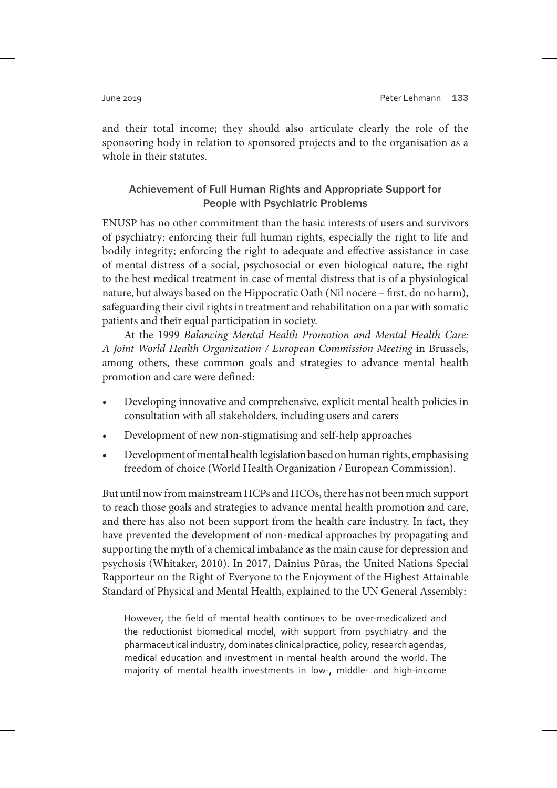and their total income; they should also articulate clearly the role of the sponsoring body in relation to sponsored projects and to the organisation as a whole in their statutes.

# Achievement of Full Human Rights and Appropriate Support for People with Psychiatric Problems

ENUSP has no other commitment than the basic interests of users and survivors of psychiatry: enforcing their full human rights, especially the right to life and bodily integrity; enforcing the right to adequate and effective assistance in case of mental distress of a social, psychosocial or even biological nature, the right to the best medical treatment in case of mental distress that is of a physiological nature, but always based on the Hippocratic Oath (Nil nocere – first, do no harm), safeguarding their civil rights in treatment and rehabilitation on a par with somatic patients and their equal participation in society.

At the 1999 Balancing Mental Health Promotion and Mental Health Care: A Joint World Health Organization / European Commission Meeting in Brussels, among others, these common goals and strategies to advance mental health promotion and care were defined:

- Developing innovative and comprehensive, explicit mental health policies in consultation with all stakeholders, including users and carers
- Development of new non-stigmatising and self-help approaches
- Development of mental health legislation based on human rights, emphasising freedom of choice (World Health Organization / European Commission).

But until now from mainstream HCPs and HCOs, there has not been much support to reach those goals and strategies to advance mental health promotion and care, and there has also not been support from the health care industry. In fact, they have prevented the development of non-medical approaches by propagating and supporting the myth of a chemical imbalance as the main cause for depression and psychosis (Whitaker, 2010). In 2017, Dainius Pūras, the United Nations Special Rapporteur on the Right of Everyone to the Enjoyment of the Highest Attainable Standard of Physical and Mental Health, explained to the UN General Assembly:

However, the field of mental health continues to be over-medicalized and the reductionist biomedical model, with support from psychiatry and the pharmaceutical industry, dominates clinical practice, policy, research agendas, medical education and investment in mental health around the world. The majority of mental health investments in low-, middle- and high-income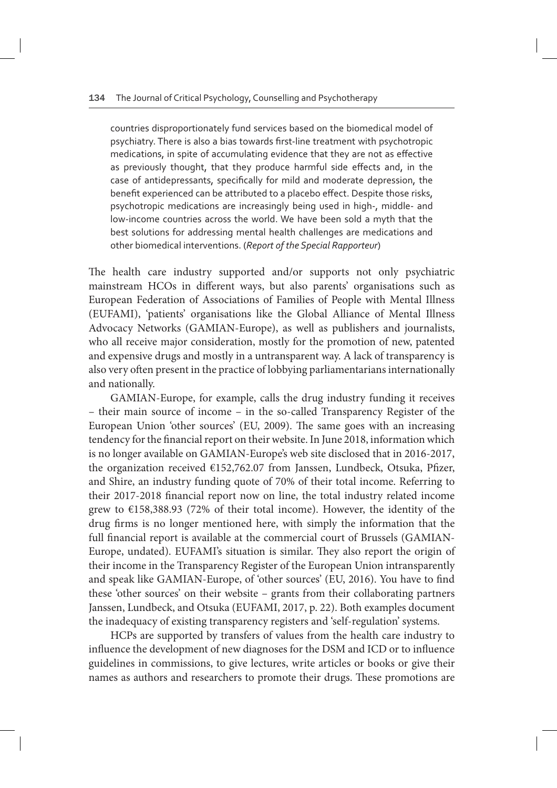countries disproportionately fund services based on the biomedical model of psychiatry. There is also a bias towards first-line treatment with psychotropic medications, in spite of accumulating evidence that they are not as effective as previously thought, that they produce harmful side effects and, in the case of antidepressants, specifically for mild and moderate depression, the benefit experienced can be attributed to a placebo effect. Despite those risks, psychotropic medications are increasingly being used in high-, middle- and low-income countries across the world. We have been sold a myth that the best solutions for addressing mental health challenges are medications and other biomedical interventions. (*Report of the Special Rapporteur*)

The health care industry supported and/or supports not only psychiatric mainstream HCOs in different ways, but also parents' organisations such as European Federation of Associations of Families of People with Mental Illness (EUFAMI), 'patients' organisations like the Global Alliance of Mental Illness Advocacy Networks (GAMIAN-Europe), as well as publishers and journalists, who all receive major consideration, mostly for the promotion of new, patented and expensive drugs and mostly in a untransparent way. A lack of transparency is also very often present in the practice of lobbying parliamentarians internationally and nationally.

GAMIAN-Europe, for example, calls the drug industry funding it receives – their main source of income – in the so-called Transparency Register of the European Union 'other sources' (EU, 2009). The same goes with an increasing tendency for the financial report on their website. In June 2018, information which is no longer available on GAMIAN-Europe's web site disclosed that in 2016-2017, the organization received €152,762.07 from Janssen, Lundbeck, Otsuka, Pfizer, and Shire, an industry funding quote of 70% of their total income. Referring to their 2017-2018 financial report now on line, the total industry related income grew to  $E158,388.93$  (72% of their total income). However, the identity of the drug firms is no longer mentioned here, with simply the information that the full financial report is available at the commercial court of Brussels (GAMIAN-Europe, undated). EUFAMI's situation is similar. They also report the origin of their income in the Transparency Register of the European Union intransparently and speak like GAMIAN-Europe, of 'other sources' (EU, 2016). You have to find these 'other sources' on their website – grants from their collaborating partners Janssen, Lundbeck, and Otsuka (EUFAMI, 2017, p. 22). Both examples document the inadequacy of existing transparency registers and 'self-regulation' systems.

HCPs are supported by transfers of values from the health care industry to influence the development of new diagnoses for the DSM and ICD or to influence guidelines in commissions, to give lectures, write articles or books or give their names as authors and researchers to promote their drugs. These promotions are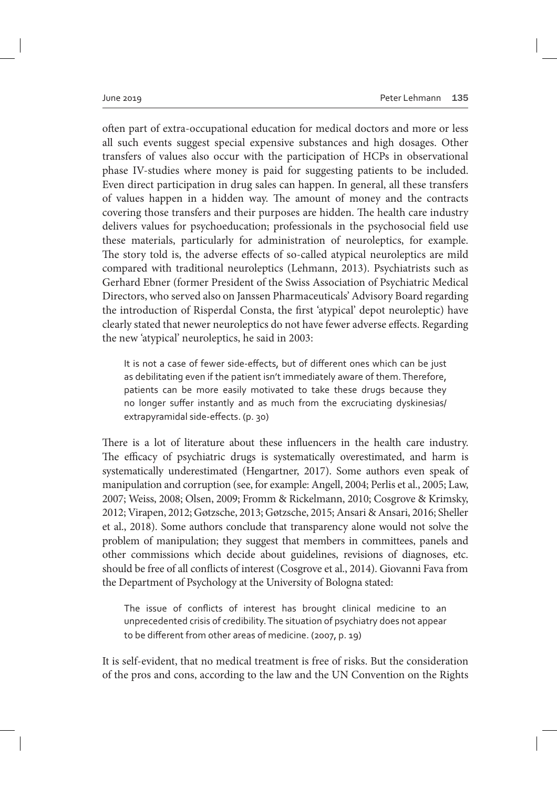often part of extra-occupational education for medical doctors and more or less all such events suggest special expensive substances and high dosages. Other transfers of values also occur with the participation of HCPs in observational phase IV-studies where money is paid for suggesting patients to be included. Even direct participation in drug sales can happen. In general, all these transfers of values happen in a hidden way. The amount of money and the contracts covering those transfers and their purposes are hidden. The health care industry delivers values for psychoeducation; professionals in the psychosocial field use these materials, particularly for administration of neuroleptics, for example. The story told is, the adverse effects of so-called atypical neuroleptics are mild compared with traditional neuroleptics (Lehmann, 2013). Psychiatrists such as Gerhard Ebner (former President of the Swiss Association of Psychiatric Medical Directors, who served also on Janssen Pharmaceuticals' Advisory Board regarding the introduction of Risperdal Consta, the first 'atypical' depot neuroleptic) have clearly stated that newer neuroleptics do not have fewer adverse effects. Regarding the new 'atypical' neuroleptics, he said in 2003:

It is not a case of fewer side-effects, but of different ones which can be just as debilitating even if the patient isn't immediately aware of them. Therefore, patients can be more easily motivated to take these drugs because they no longer suffer instantly and as much from the excruciating dyskinesias/ extrapyramidal side-effects. (p. 30)

There is a lot of literature about these influencers in the health care industry. The efficacy of psychiatric drugs is systematically overestimated, and harm is systematically underestimated (Hengartner, 2017). Some authors even speak of manipulation and corruption (see, for example: Angell, 2004; Perlis et al., 2005; Law, 2007; Weiss, 2008; Olsen, 2009; Fromm & Rickelmann, 2010; Cosgrove & Krimsky, 2012; Virapen, 2012; Gøtzsche, 2013; Gøtzsche, 2015; Ansari & Ansari, 2016; Sheller et al., 2018). Some authors conclude that transparency alone would not solve the problem of manipulation; they suggest that members in committees, panels and other commissions which decide about guidelines, revisions of diagnoses, etc. should be free of all conflicts of interest (Cosgrove et al., 2014). Giovanni Fava from the Department of Psychology at the University of Bologna stated:

The issue of conflicts of interest has brought clinical medicine to an unprecedented crisis of credibility. The situation of psychiatry does not appear to be different from other areas of medicine. (2007, p. 19)

It is self-evident, that no medical treatment is free of risks. But the consideration of the pros and cons, according to the law and the UN Convention on the Rights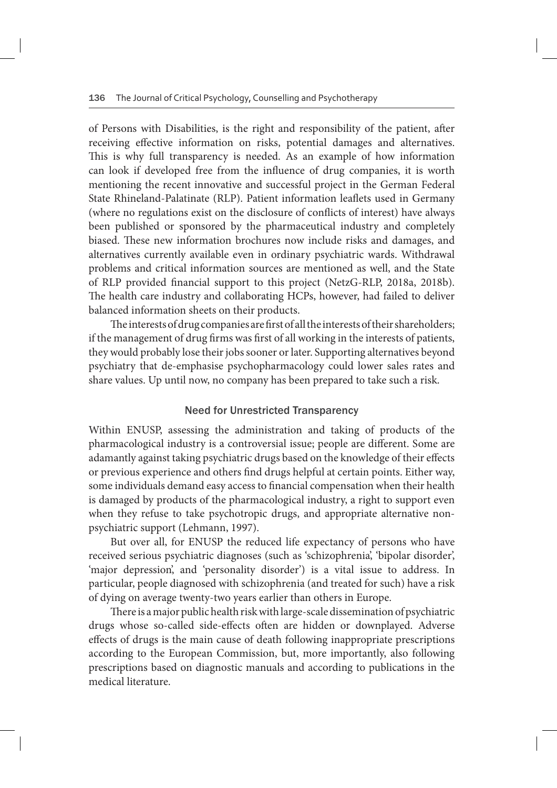of Persons with Disabilities, is the right and responsibility of the patient, after receiving effective information on risks, potential damages and alternatives. This is why full transparency is needed. As an example of how information can look if developed free from the influence of drug companies, it is worth mentioning the recent innovative and successful project in the German Federal State Rhineland-Palatinate (RLP). Patient information leaflets used in Germany (where no regulations exist on the disclosure of conflicts of interest) have always been published or sponsored by the pharmaceutical industry and completely biased. These new information brochures now include risks and damages, and alternatives currently available even in ordinary psychiatric wards. Withdrawal problems and critical information sources are mentioned as well, and the State of RLP provided financial support to this project (NetzG-RLP, 2018a, 2018b). The health care industry and collaborating HCPs, however, had failed to deliver balanced information sheets on their products.

The interests of drug companies are first of all the interests of their shareholders; if the management of drug firms was first of all working in the interests of patients, they would probably lose their jobs sooner or later. Supporting alternatives beyond psychiatry that de-emphasise psychopharmacology could lower sales rates and share values. Up until now, no company has been prepared to take such a risk.

### Need for Unrestricted Transparency

Within ENUSP, assessing the administration and taking of products of the pharmacological industry is a controversial issue; people are different. Some are adamantly against taking psychiatric drugs based on the knowledge of their effects or previous experience and others find drugs helpful at certain points. Either way, some individuals demand easy access to financial compensation when their health is damaged by products of the pharmacological industry, a right to support even when they refuse to take psychotropic drugs, and appropriate alternative nonpsychiatric support (Lehmann, 1997).

But over all, for ENUSP the reduced life expectancy of persons who have received serious psychiatric diagnoses (such as 'schizophrenia', 'bipolar disorder', 'major depression', and 'personality disorder') is a vital issue to address. In particular, people diagnosed with schizophrenia (and treated for such) have a risk of dying on average twenty-two years earlier than others in Europe.

There is a major public health risk with large-scale dissemination of psychiatric drugs whose so-called side-effects often are hidden or downplayed. Adverse effects of drugs is the main cause of death following inappropriate prescriptions according to the European Commission, but, more importantly, also following prescriptions based on diagnostic manuals and according to publications in the medical literature.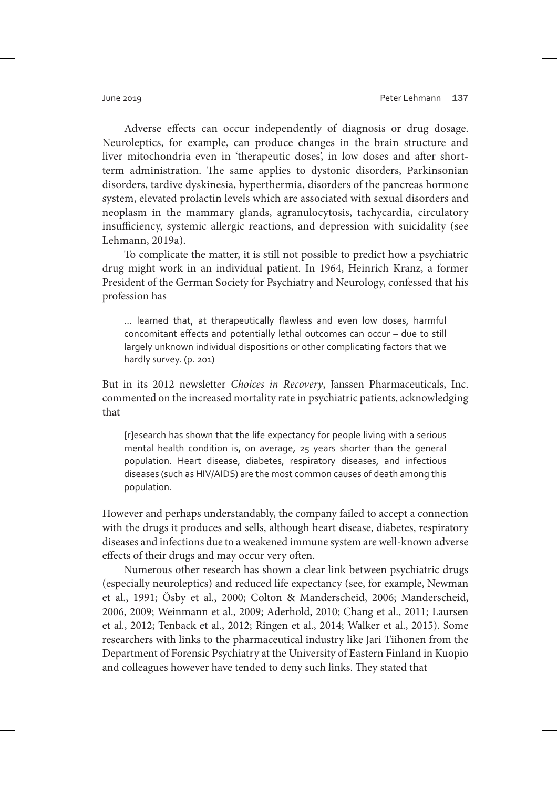Adverse effects can occur independently of diagnosis or drug dosage. Neuroleptics, for example, can produce changes in the brain structure and liver mitochondria even in 'therapeutic doses', in low doses and after shortterm administration. The same applies to dystonic disorders, Parkinsonian disorders, tardive dyskinesia, hyperthermia, disorders of the pancreas hormone system, elevated prolactin levels which are associated with sexual disorders and neoplasm in the mammary glands, agranulocytosis, tachycardia, circulatory insufficiency, systemic allergic reactions, and depression with suicidality (see Lehmann, 2019a).

To complicate the matter, it is still not possible to predict how a psychiatric drug might work in an individual patient. In 1964, Heinrich Kranz, a former President of the German Society for Psychiatry and Neurology, confessed that his profession has

... learned that, at therapeutically flawless and even low doses, harmful concomitant effects and potentially lethal outcomes can occur - due to still largely unknown individual dispositions or other complicating factors that we hardly survey. (p. 201)

But in its 2012 newsletter Choices in Recovery, Janssen Pharmaceuticals, Inc. commented on the increased mortality rate in psychiatric patients, acknowledging that

[r]esearch has shown that the life expectancy for people living with a serious mental health condition is, on average, 25 years shorter than the general population. Heart disease, diabetes, respiratory diseases, and infectious diseases (such as HIV/AIDS) are the most common causes of death among this population.

However and perhaps understandably, the company failed to accept a connection with the drugs it produces and sells, although heart disease, diabetes, respiratory diseases and infections due to a weakened immune system are well-known adverse effects of their drugs and may occur very often.

Numerous other research has shown a clear link between psychiatric drugs (especially neuroleptics) and reduced life expectancy (see, for example, Newman et al., 1991; Ösby et al., 2000; Colton & Manderscheid, 2006; Manderscheid, 2006, 2009; Weinmann et al., 2009; Aderhold, 2010; Chang et al., 2011; Laursen et al., 2012; Tenback et al., 2012; Ringen et al., 2014; Walker et al., 2015). Some researchers with links to the pharmaceutical industry like Jari Tiihonen from the Department of Forensic Psychiatry at the University of Eastern Finland in Kuopio and colleagues however have tended to deny such links. They stated that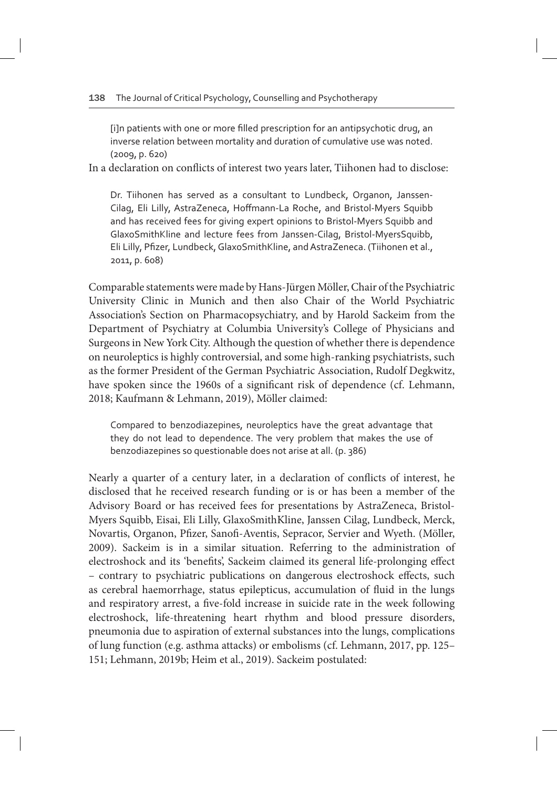[i]n patients with one or more filled prescription for an antipsychotic drug, an inverse relation between mortality and duration of cumulative use was noted. (2009, p. 620)

In a declaration on conflicts of interest two years later, Tiihonen had to disclose:

Dr. Tiihonen has served as a consultant to Lundbeck, Organon, Janssen- Cilag, Eli Lilly, AstraZeneca, Hoffmann-La Roche, and Bristol-Myers Squibb and has received fees for giving expert opinions to Bristol-Myers Squibb and GlaxoSmithKline and lecture fees from Janssen-Cilag, Bristol-MyersSquibb, Eli Lilly, Pfizer, Lundbeck, GlaxoSmithKline, and AstraZeneca. (Tiihonen et al., 2011, p. 608)

Comparable statements were made by Hans-Jürgen Möller, Chair of the Psychiatric University Clinic in Munich and then also Chair of the World Psychiatric Association's Section on Pharmacopsychiatry, and by Harold Sackeim from the Department of Psychiatry at Columbia University's College of Physicians and Surgeons in New York City. Although the question of whether there is dependence on neuroleptics is highly controversial, and some high-ranking psychiatrists, such as the former President of the German Psychiatric Association, Rudolf Degkwitz, have spoken since the 1960s of a significant risk of dependence (cf. Lehmann, 2018; Kaufmann & Lehmann, 2019), Möller claimed:

Compared to benzodiazepines, neuroleptics have the great advantage that they do not lead to dependence. The very problem that makes the use of benzodiazepines so questionable does not arise at all. (p. 386)

Nearly a quarter of a century later, in a declaration of conflicts of interest, he disclosed that he received research funding or is or has been a member of the Advisory Board or has received fees for presentations by AstraZeneca, Bristol-Myers Squibb, Eisai, Eli Lilly, GlaxoSmithKline, Janssen Cilag, Lundbeck, Merck, Novartis, Organon, Pfizer, Sanofi-Aventis, Sepracor, Servier and Wyeth. (Möller, 2009). Sackeim is in a similar situation. Referring to the administration of electroshock and its 'benefits', Sackeim claimed its general life-prolonging effect – contrary to psychiatric publications on dangerous electroshock effects, such as cerebral haemorrhage, status epilepticus, accumulation of fluid in the lungs and respiratory arrest, a five-fold increase in suicide rate in the week following electroshock, life-threatening heart rhythm and blood pressure disorders, pneumonia due to aspiration of external substances into the lungs, complications of lung function (e.g. asthma attacks) or embolisms (cf. Lehmann, 2017, pp. 125– 151; Lehmann, 2019b; Heim et al., 2019). Sackeim postulated: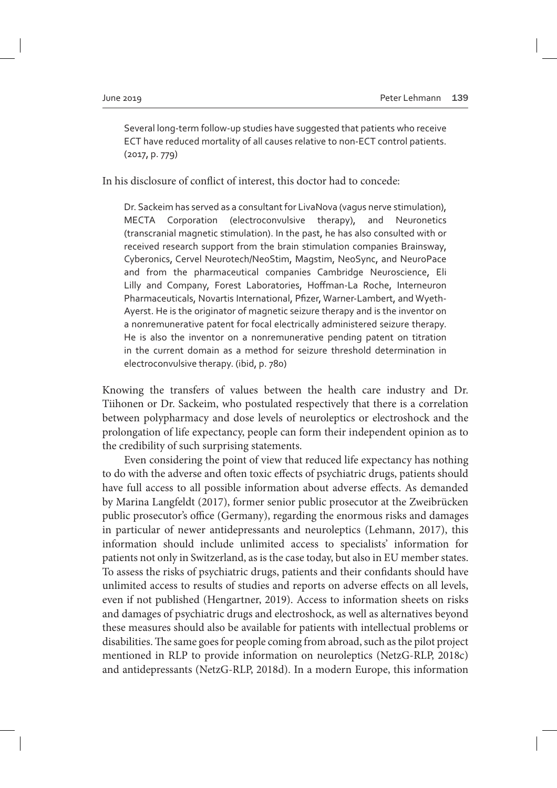Several long-term follow-up studies have suggested that patients who receive ECT have reduced mortality of all causes relative to non-ECT control patients. (2017, p. 779)

In his disclosure of conflict of interest, this doctor had to concede:

Dr. Sackeim has served as a consultant for LivaNova (vagus nerve stimulation), MECTA Corporation (electroconvulsive therapy), and Neuronetics (transcranial magnetic stimulation). In the past, he has also consulted with or received research support from the brain stimulation companies Brainsway, Cyberonics, Cervel Neurotech/NeoStim, Magstim, NeoSync, and NeuroPace and from the pharmaceutical companies Cambridge Neuroscience, Eli Lilly and Company, Forest Laboratories, Hoffman-La Roche, Interneuron Pharmaceuticals, Novartis International, Pfizer, Warner-Lambert, and Wyeth-Ayerst. He is the originator of magnetic seizure therapy and is the inventor on a nonremunerative patent for focal electrically administered seizure therapy. He is also the inventor on a nonremunerative pending patent on titration in the current domain as a method for seizure threshold determination in electroconvulsive therapy. (ibid, p. 780)

Knowing the transfers of values between the health care industry and Dr. Tiihonen or Dr. Sackeim, who postulated respectively that there is a correlation between polypharmacy and dose levels of neuroleptics or electroshock and the prolongation of life expectancy, people can form their independent opinion as to the credibility of such surprising statements.

Even considering the point of view that reduced life expectancy has nothing to do with the adverse and often toxic effects of psychiatric drugs, patients should have full access to all possible information about adverse effects. As demanded by Marina Langfeldt (2017), former senior public prosecutor at the Zweibrücken public prosecutor's office (Germany), regarding the enormous risks and damages in particular of newer antidepressants and neuroleptics (Lehmann, 2017), this information should include unlimited access to specialists' information for patients not only in Switzerland, as is the case today, but also in EU member states. To assess the risks of psychiatric drugs, patients and their confidants should have unlimited access to results of studies and reports on adverse effects on all levels, even if not published (Hengartner, 2019). Access to information sheets on risks and damages of psychiatric drugs and electroshock, as well as alternatives beyond these measures should also be available for patients with intellectual problems or disabilities. The same goes for people coming from abroad, such as the pilot project mentioned in RLP to provide information on neuroleptics (NetzG-RLP, 2018c) and antidepressants (NetzG-RLP, 2018d). In a modern Europe, this information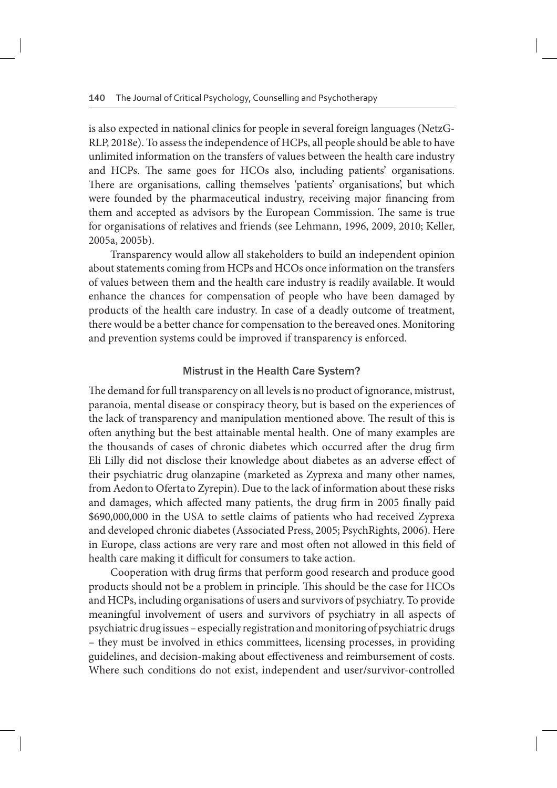is also expected in national clinics for people in several foreign languages (NetzG-RLP, 2018e). To assess the independence of HCPs, all people should be able to have unlimited information on the transfers of values between the health care industry and HCPs. The same goes for HCOs also, including patients' organisations. There are organisations, calling themselves 'patients' organisations', but which were founded by the pharmaceutical industry, receiving major financing from them and accepted as advisors by the European Commission. The same is true for organisations of relatives and friends (see Lehmann, 1996, 2009, 2010; Keller, 2005a, 2005b).

Transparency would allow all stakeholders to build an independent opinion about statements coming from HCPs and HCOs once information on the transfers of values between them and the health care industry is readily available. It would enhance the chances for compensation of people who have been damaged by products of the health care industry. In case of a deadly outcome of treatment, there would be a better chance for compensation to the bereaved ones. Monitoring and prevention systems could be improved if transparency is enforced.

## Mistrust in the Health Care System?

The demand for full transparency on all levels is no product of ignorance, mistrust, paranoia, mental disease or conspiracy theory, but is based on the experiences of the lack of transparency and manipulation mentioned above. The result of this is often anything but the best attainable mental health. One of many examples are the thousands of cases of chronic diabetes which occurred after the drug firm Eli Lilly did not disclose their knowledge about diabetes as an adverse effect of their psychiatric drug olanzapine (marketed as Zyprexa and many other names, from Aedonto Ofertato Zyrepin). Due to the lack of information about these risks and damages, which affected many patients, the drug firm in 2005 finally paid \$690,000,000 in the USA to settle claims of patients who had received Zyprexa and developed chronic diabetes (Associated Press, 2005; PsychRights, 2006). Here in Europe, class actions are very rare and most often not allowed in this field of health care making it difficult for consumers to take action.

Cooperation with drug firms that perform good research and produce good products should not be a problem in principle. This should be the case for HCOs and HCPs, including organisations of users and survivors of psychiatry. To provide meaningful involvement of users and survivors of psychiatry in all aspects of psychiatric drug issues – especially registration and monitoring of psychiatric drugs – they must be involved in ethics committees, licensing processes, in providing guidelines, and decision-making about effectiveness and reimbursement of costs. Where such conditions do not exist, independent and user/survivor-controlled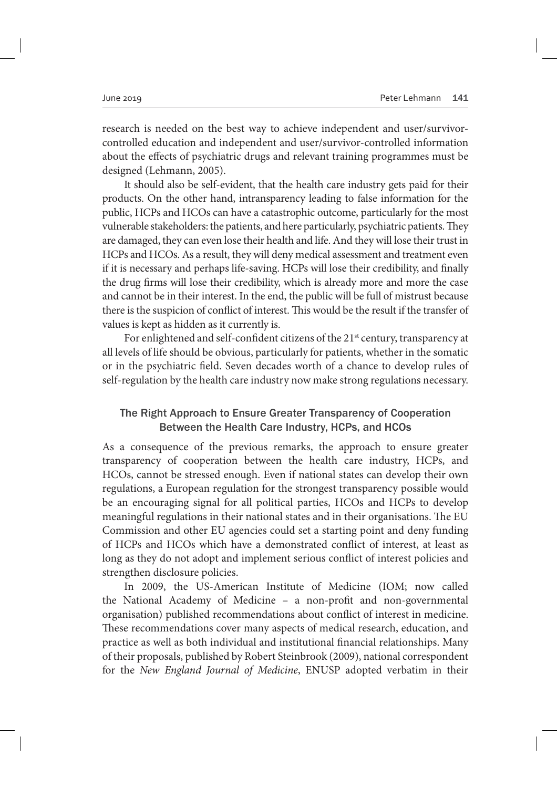research is needed on the best way to achieve independent and user/survivorcontrolled education and independent and user/survivor-controlled information about the effects of psychiatric drugs and relevant training programmes must be designed (Lehmann, 2005).

It should also be self-evident, that the health care industry gets paid for their products. On the other hand, intransparency leading to false information for the public, HCPs and HCOs can have a catastrophic outcome, particularly for the most vulnerable stakeholders: the patients, and here particularly, psychiatric patients. They are damaged, they can even lose their health and life. And they will lose their trust in HCPs and HCOs. As a result, they will deny medical assessment and treatment even if it is necessary and perhaps life-saving. HCPs will lose their credibility, and finally the drug firms will lose their credibility, which is already more and more the case and cannot be in their interest. In the end, the public will be full of mistrust because there is the suspicion of conflict of interest. This would be the result if the transfer of values is kept as hidden as it currently is.

For enlightened and self-confident citizens of the 21<sup>st</sup> century, transparency at all levels of life should be obvious, particularly for patients, whether in the somatic or in the psychiatric field. Seven decades worth of a chance to develop rules of self-regulation by the health care industry now make strong regulations necessary.

# The Right Approach to Ensure Greater Transparency of Cooperation Between the Health Care Industry, HCPs, and HCOs

As a consequence of the previous remarks, the approach to ensure greater transparency of cooperation between the health care industry, HCPs, and HCOs, cannot be stressed enough. Even if national states can develop their own regulations, a European regulation for the strongest transparency possible would be an encouraging signal for all political parties, HCOs and HCPs to develop meaningful regulations in their national states and in their organisations. The EU Commission and other EU agencies could set a starting point and deny funding of HCPs and HCOs which have a demonstrated conflict of interest, at least as long as they do not adopt and implement serious conflict of interest policies and strengthen disclosure policies.

In 2009, the US-American Institute of Medicine (IOM; now called the National Academy of Medicine – a non-profit and non-governmental organisation) published recommendations about conflict of interest in medicine. These recommendations cover many aspects of medical research, education, and practice as well as both individual and institutional financial relationships. Many of their proposals, published by Robert Steinbrook (2009), national correspondent for the New England Journal of Medicine, ENUSP adopted verbatim in their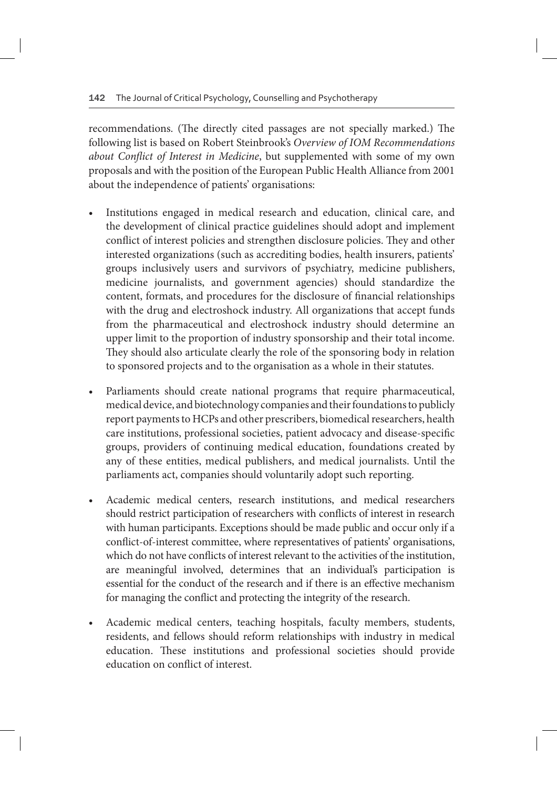recommendations. (The directly cited passages are not specially marked.) The following list is based on Robert Steinbrook's Overview of IOM Recommendations about Conflict of Interest in Medicine, but supplemented with some of my own proposals and with the position of the European Public Health Alliance from 2001 about the independence of patients' organisations:

- Institutions engaged in medical research and education, clinical care, and the development of clinical practice guidelines should adopt and implement conflict of interest policies and strengthen disclosure policies. They and other interested organizations (such as accrediting bodies, health insurers, patients' groups inclusively users and survivors of psychiatry, medicine publishers, medicine journalists, and government agencies) should standardize the content, formats, and procedures for the disclosure of financial relationships with the drug and electroshock industry. All organizations that accept funds from the pharmaceutical and electroshock industry should determine an upper limit to the proportion of industry sponsorship and their total income. They should also articulate clearly the role of the sponsoring body in relation to sponsored projects and to the organisation as a whole in their statutes.
- Parliaments should create national programs that require pharmaceutical, medical device, and biotechnology companies and their foundations to publicly report payments to HCPs and other prescribers, biomedical researchers, health care institutions, professional societies, patient advocacy and disease-specific groups, providers of continuing medical education, foundations created by any of these entities, medical publishers, and medical journalists. Until the parliaments act, companies should voluntarily adopt such reporting.
- Academic medical centers, research institutions, and medical researchers should restrict participation of researchers with conflicts of interest in research with human participants. Exceptions should be made public and occur only if a conflict-of-interest committee, where representatives of patients' organisations, which do not have conflicts of interest relevant to the activities of the institution, are meaningful involved, determines that an individual's participation is essential for the conduct of the research and if there is an effective mechanism for managing the conflict and protecting the integrity of the research.
- Academic medical centers, teaching hospitals, faculty members, students, residents, and fellows should reform relationships with industry in medical education. These institutions and professional societies should provide education on conflict of interest.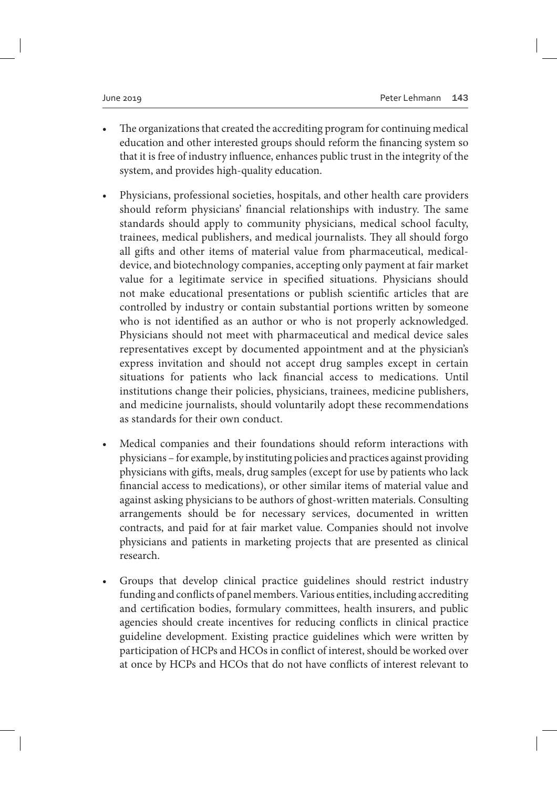- The organizations that created the accrediting program for continuing medical education and other interested groups should reform the financing system so that it is free of industry influence, enhances public trust in the integrity of the system, and provides high-quality education.
- Physicians, professional societies, hospitals, and other health care providers should reform physicians' financial relationships with industry. The same standards should apply to community physicians, medical school faculty, trainees, medical publishers, and medical journalists. They all should forgo all gifts and other items of material value from pharmaceutical, medicaldevice, and biotechnology companies, accepting only payment at fair market value for a legitimate service in specified situations. Physicians should not make educational presentations or publish scientific articles that are controlled by industry or contain substantial portions written by someone who is not identified as an author or who is not properly acknowledged. Physicians should not meet with pharmaceutical and medical device sales representatives except by documented appointment and at the physician's express invitation and should not accept drug samples except in certain situations for patients who lack financial access to medications. Until institutions change their policies, physicians, trainees, medicine publishers, and medicine journalists, should voluntarily adopt these recommendations as standards for their own conduct.
- Medical companies and their foundations should reform interactions with physicians – for example, by instituting policies and practices against providing physicians with gifts, meals, drug samples (except for use by patients who lack financial access to medications), or other similar items of material value and against asking physicians to be authors of ghost-written materials. Consulting arrangements should be for necessary services, documented in written contracts, and paid for at fair market value. Companies should not involve physicians and patients in marketing projects that are presented as clinical research.
- Groups that develop clinical practice guidelines should restrict industry funding and conflicts of panel members. Various entities, including accrediting and certification bodies, formulary committees, health insurers, and public agencies should create incentives for reducing conflicts in clinical practice guideline development. Existing practice guidelines which were written by participation of HCPs and HCOs in conflict of interest, should be worked over at once by HCPs and HCOs that do not have conflicts of interest relevant to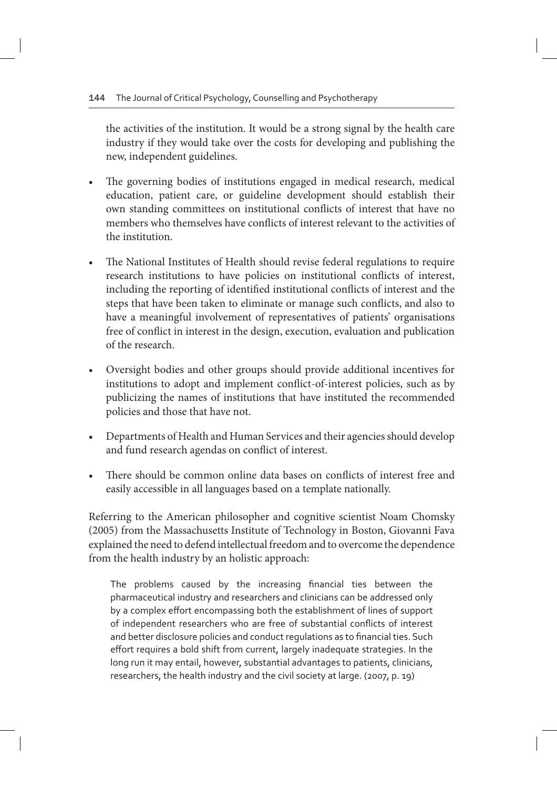the activities of the institution. It would be a strong signal by the health care industry if they would take over the costs for developing and publishing the new, independent guidelines.

- The governing bodies of institutions engaged in medical research, medical education, patient care, or guideline development should establish their own standing committees on institutional conflicts of interest that have no members who themselves have conflicts of interest relevant to the activities of the institution.
- The National Institutes of Health should revise federal regulations to require research institutions to have policies on institutional conflicts of interest, including the reporting of identified institutional conflicts of interest and the steps that have been taken to eliminate or manage such conflicts, and also to have a meaningful involvement of representatives of patients' organisations free of conflict in interest in the design, execution, evaluation and publication of the research.
- Oversight bodies and other groups should provide additional incentives for institutions to adopt and implement conflict-of-interest policies, such as by publicizing the names of institutions that have instituted the recommended policies and those that have not.
- Departments of Health and Human Services and their agencies should develop and fund research agendas on conflict of interest.
- There should be common online data bases on conflicts of interest free and easily accessible in all languages based on a template nationally.

Referring to the American philosopher and cognitive scientist Noam Chomsky (2005) from the Massachusetts Institute of Technology in Boston, Giovanni Fava explained the need to defend intellectual freedom and to overcome the dependence from the health industry by an holistic approach:

The problems caused by the increasing financial ties between the pharmaceutical industry and researchers and clinicians can be addressed only by a complex effort encompassing both the establishment of lines of support of independent researchers who are free of substantial conflicts of interest and better disclosure policies and conduct requlations as to financial ties. Such effort requires a bold shift from current, largely inadequate strategies. In the long run it may entail, however, substantial advantages to patients, clinicians, researchers, the health industry and the civil society at large. (2007, p. 19)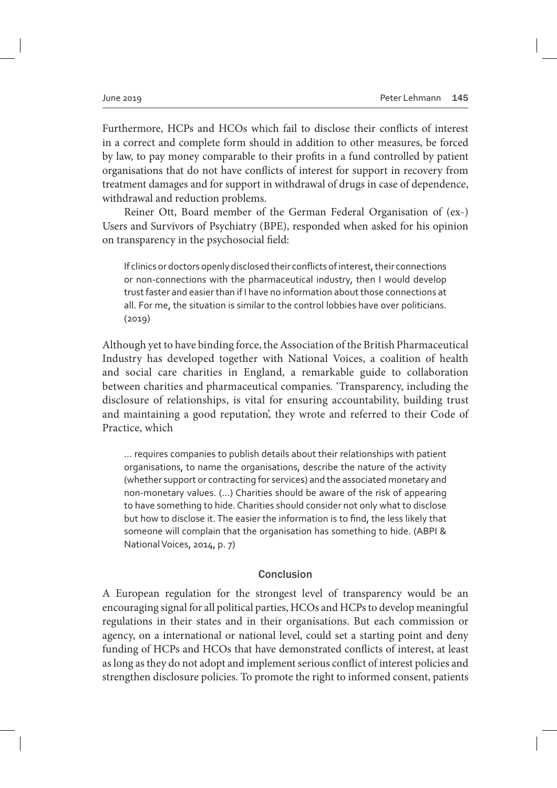Furthermore, HCPs and HCOs which fail to disclose their conflicts of interest in a correct and complete form should in addition to other measures, be forced by law, to pay money comparable to their profits in a fund controlled by patient organisations that do not have conflicts of interest for support in recovery from treatment damages and for support in withdrawal of drugs in case of dependence, withdrawal and reduction problems.

Reiner Ott, Board member of the German Federal Organisation of (ex-) Users and Survivors of Psychiatry (BPE), responded when asked for his opinion on transparency in the psychosocial field:

If clinics or doctors openly disclosed their conflicts of interest, their connections or non-connections with the pharmaceutical industry, then I would develop trust faster and easier than if I have no information about those connections at all. For me, the situation is similar to the control lobbies have over politicians. (2019)

Although yet to have binding force, the Association of the British Pharmaceutical Industry has developed together with National Voices, a coalition of health and social care charities in England, a remarkable guide to collaboration between charities and pharmaceutical companies. 'Transparency, including the disclosure of relationships, is vital for ensuring accountability, building trust and maintaining a good reputation', they wrote and referred to their Code of Practice, which

... requires companies to publish details about their relationships with patient organisations, to name the organisations, describe the nature of the activity (whether support or contracting for services) and the associated monetary and non-monetary values. (...) Charities should be aware of the risk of appearing to have something to hide. Charities should consider not only what to disclose but how to disclose it. The easier the information is to find, the less likely that someone will complain that the organisation has something to hide. (ABPI & National Voices, 2014, p. 7)

# **Conclusion**

A European regulation for the strongest level of transparency would be an encouraging signal for all political parties, HCOs and HCPs to develop meaningful regulations in their states and in their organisations. But each commission or agency, on a international or national level, could set a starting point and deny funding of HCPs and HCOs that have demonstrated conflicts of interest, at least as long as they do not adopt and implement serious conflict of interest policies and strengthen disclosure policies. To promote the right to informed consent, patients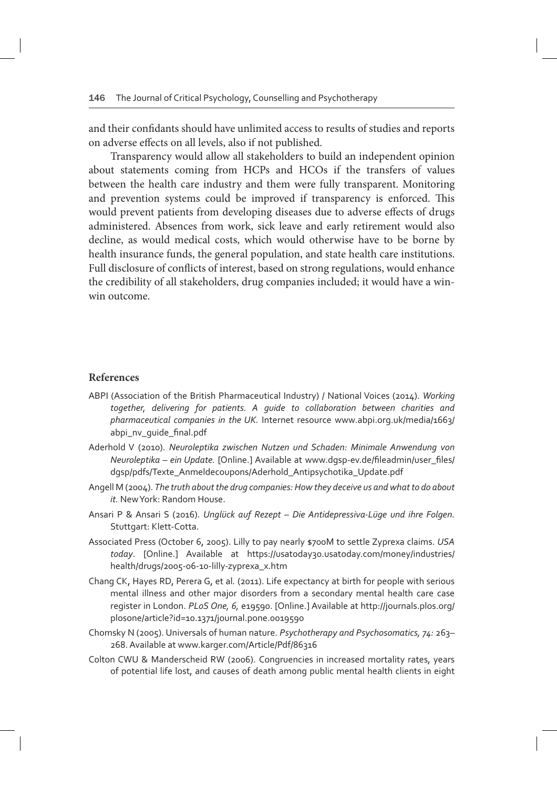and their confidants should have unlimited access to results of studies and reports on adverse effects on all levels, also if not published.

Transparency would allow all stakeholders to build an independent opinion about statements coming from HCPs and HCOs if the transfers of values between the health care industry and them were fully transparent. Monitoring and prevention systems could be improved if transparency is enforced. This would prevent patients from developing diseases due to adverse effects of drugs administered. Absences from work, sick leave and early retirement would also decline, as would medical costs, which would otherwise have to be borne by health insurance funds, the general population, and state health care institutions. Full disclosure of conflicts of interest, based on strong regulations, would enhance the credibility of all stakeholders, drug companies included; it would have a winwin outcome.

## **References**

- ABPI (Association of the British Pharmaceutical Industry) / National Voices (2014). *Working together, delivering for patients. A guide to collaboration between charities and pharmaceutical companies in the UK.* Internet resource www.abpi.org.uk/media/1663/ abpi\_nv\_quide\_final.pdf
- Aderhold V (2010). *Neuroleptika zwischen Nutzen und Schaden: Minimale Anwendung von Neuroleptika – ein Update.* [Online.] Available at www.dgsp-ev.de/fileadmin/user\_files/ dgsp/pdfs/Texte\_Anmeldecoupons/Aderhold\_Antipsychotika\_Update.pdf
- Angell M (2004). *The truth about the drug companies: How they deceive us and what to do about it.* New York: Random House.
- Ansari P & Ansari S (2016). *Unglück auf Rezept Die Antidepressiva-Lüge und ihre Folgen.* Stuttgart: Klett-Cotta.
- Associated Press (October 6, 2005). Lilly to pay nearly \$700M to settle Zyprexa claims. *USA today*. [Online.] Available at https://usatoday30.usatoday.com/money/industries/ health/drugs/2005-06-10-lilly-zyprexa\_x.htm
- Chang CK, Hayes RD, Perera G, et al*.* (2011). Life expectancy at birth for people with serious mental illness and other major disorders from a secondary mental health care case register in London. *PLoS One, 6,* e19590. [Online.] Available at http://journals.plos.org/ plosone/article?id=10.1371/journal.pone.0019590
- Chomsky N (2005). Universals of human nature. *Psychotherapy and Psychosomatics, 74:* 263– 268. Available at www.karger.com/Article/Pdf/86316
- Colton CWU & Manderscheid RW (2006). Congruencies in increased mortality rates, years of potential life lost, and causes of death among public mental health clients in eight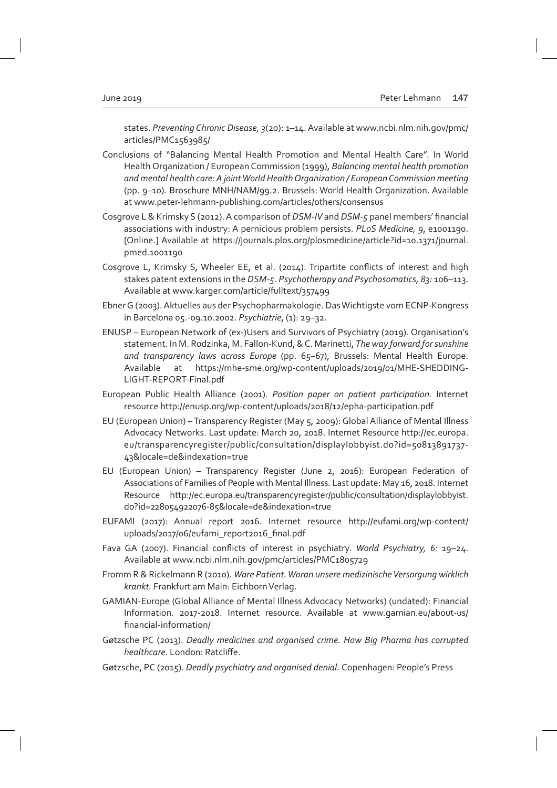states. *Preventing Chronic Disease, 3*(20): 1–14. Available at www.ncbi.nlm.nih.gov/pmc/ articles/PMC1563985/

- Conclusions of "Balancing Mental Health Promotion and Mental Health Care". In World Health Organization / European Commission (1999), *Balancing mental health promotion and mental health care: A joint World Health Organization / European Commission meeting*  (pp. 9–10)*.* Broschure MNH/NAM/99.2. Brussels: World Health Organization. Available at www.peter-lehmann-publishing.com/articles/others/consensus
- Cosgrove L & Krimsky S (2012). A comparison of *DSM-IV* and *DSM-s* panel members' financial associations with industry: A pernicious problem persists. *PLoS Medicine, 9*, e1001190. [Online.] Available at https://journals.plos.org/plosmedicine/article?id=10.1371/journal. pmed.1001190
- Cosgrove L, Krimsky S, Wheeler EE, et al. (2014). Tripartite conflicts of interest and high stakes patent extensions in the *DSM-5*. *Psychotherapy and Psychosomatics, 83:* 106–113. Available at www.karger.com/article/fulltext/357499
- Ebner G (2003). Aktuelles aus der Psychopharmakologie. Das Wichtigste vom ECNP-Kongress in Barcelona 05.-09.10.2002. *Psychiatrie*, (1): 29–32.
- ENUSP European Network of (ex-)Users and Survivors of Psychiatry (2019). Organisation's statement. In M. Rodzinka, M. Fallon-Kund, & C. Marinetti, *The way forward for sunshine and transparency laws across Europe* (pp. 65–67), Brussels: Mental Health Europe. Available at https://mhe-sme.org/wp-content/uploads/2019/01/MHE-SHEDDING-LIGHT-REPORT-Final.pdf
- European Public Health Alliance (2001). *Position paper on patient participation.* Internet resource http://enusp.org/wp-content/uploads/2018/12/epha-participation.pdf
- EU (European Union) Transparency Register (May 5, 2009): Global Alliance of Mental Illness Advocacy Networks. Last update: March 20, 2018. Internet Resource http://ec.europa. eu/transparencyregister/public/consultation/displaylobbyist.do?id=50813891737- 43&locale=de&indexation=true
- EU (European Union) Transparency Register (June 2, 2016): European Federation of Associations of Families of People with Mental Illness. Last update: May 16, 2018. Internet Resource http://ec.europa.eu/transparencyregister/public/consultation/displaylobbyist. do?id=228054922076-85&locale=de&indexation=true
- EUFAMI (2017): Annual report 2016. Internet resource http://eufami.org/wp-content/ uploads/2017/06/eufami\_report2016\_final.pdf
- Fava GA (2007). Financial conflicts of interest in psychiatry. World Psychiatry, 6: 19-24. Available at www.ncbi.nlm.nih.gov/pmc/articles/PMC1805729
- Fromm R & Rickelmann R (2010). *Ware Patient. Woran unsere medizinische Versorgung wirklich krankt.* Frankfurt am Main: Eichborn Verlag.
- GAMIAN-Europe (Global Alliance of Mental Illness Advocacy Networks) (undated): Financial Information. 2017-2018. Internet resource. Available at www.gamian.eu/about-us/ financial-information/
- Gøtzsche PC (2013). *Deadly medicines and organised crime. How Big Pharma has corrupted healthcare*, London: Ratcliffe.
- Gøtzsche, PC (2015). *Deadly psychiatry and organised denial.* Copenhagen: People's Press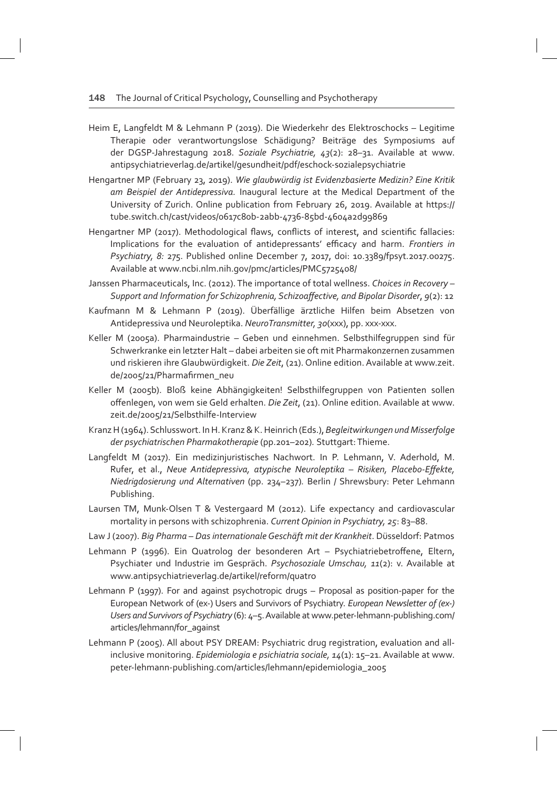- Heim E, Langfeldt M & Lehmann P (2019). Die Wiederkehr des Elektroschocks Legitime Therapie oder verantwortungslose Schädigung? Beiträge des Symposiums auf der DGSP-Jahrestagung 2018. *Soziale Psychiatrie, 43*(2): 28–31. Available at www. antipsychiatrieverlag.de/artikel/gesundheit/pdf/eschock-sozialepsychiatrie
- Hengartner MP (February 23, 2019). *Wie glaubwürdig ist Evidenzbasierte Medizin? Eine Kritik am Beispiel der Antidepressiva.* Inaugural lecture at the Medical Department of the University of Zurich. Online publication from February 26, 2019. Available at https:// tube.switch.ch/cast/videos/0617c80b-2abb-4736-85bd-4604a2d99869
- Hengartner MP (2017). Methodological flaws, conflicts of interest, and scientific fallacies: Implications for the evaluation of antidepressants' efficacy and harm. Frontiers in *Psychiatry, 8:* 275. Published online December 7, 2017, doi: 10.3389/fpsyt.2017.00275. Available at www.ncbi.nlm.nih.gov/pmc/articles/PMC5725408/
- Janssen Pharmaceuticals, Inc. (2012). The importance of total wellness. *Choices in Recovery Support and Information for Schizophrenia, Schizoaffective, and Bipolar Disorder, 9(2): 12*
- Kaufmann M & Lehmann P (2019). Überfällige ärztliche Hilfen beim Absetzen von Antidepressiva und Neuroleptika. *NeuroTransmitter, 30*(xxx), pp. xxx-xxx.
- Keller M (2005a). Pharmaindustrie Geben und einnehmen. Selbsthilfegruppen sind für Schwerkranke ein letzter Halt – dabei arbeiten sie oft mit Pharmakonzernen zusammen und riskieren ihre Glaubwürdigkeit. *Die Zeit*, (21). Online edition. Available at www.zeit. de/2005/21/Pharmafirmen neu
- Keller M (2005b). Bloß keine Abhängigkeiten! Selbsthilfegruppen von Patienten sollen offenlegen, von wem sie Geld erhalten. *Die Zeit*, (21). Online edition. Available at www. zeit.de/2005/21/Selbsthilfe-Interview
- Kranz H (1964). Schlusswort. In H. Kranz & K. Heinrich (Eds.), *Begleitwirkungen und Misserfolge der psychiatrischen Pharmakotherapie* (pp.201–202)*.* Stuttgart: Thieme.
- Langfeldt M (2017). Ein medizinjuristisches Nachwort. In P. Lehmann, V. Aderhold, M. Rufer, et al., *Neue Antidepressiva, atypische Neuroleptika - Risiken, Placebo-Effekte*, *Niedrigdosierung und Alternativen* (pp. 234–237)*.* Berlin / Shrewsbury: Peter Lehmann Publishing.
- Laursen TM, Munk-Olsen T & Vestergaard M (2012). Life expectancy and cardiovascular mortality in persons with schizophrenia. *Current Opinion in Psychiatry, 25*: 83–88.
- Law J (2007). *Big Pharma Das internationale Geschäft mit der Krankheit*. Düsseldorf: Patmos
- Lehmann P (1996). Ein Quatrolog der besonderen Art Psychiatriebetroffene, Eltern, Psychiater und Industrie im Gespräch. *Psychosoziale Umschau, 11*(2): v. Available at www.antipsychiatrieverlag.de/artikel/reform/quatro
- Lehmann P (1997). For and against psychotropic drugs Proposal as position-paper for the European Network of (ex-) Users and Survivors of Psychiatry. *European Newsletter of (ex-) Users and Survivors of Psychiatry* (6): 4–5. Available at www.peter-lehmann-publishing.com/ articles/lehmann/for\_against
- Lehmann P (2005). All about PSY DREAM: Psychiatric drug registration, evaluation and allinclusive monitoring. *Epidemiologia e psichiatria sociale, 14*(1): 15–21. Available at www. peter-lehmann-publishing.com/articles/lehmann/epidemiologia\_2005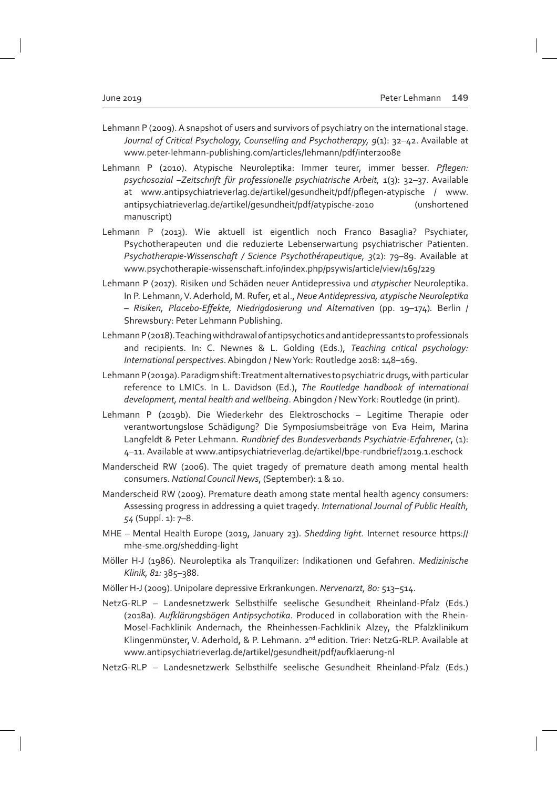- Lehmann P (2009). A snapshot of users and survivors of psychiatry on the international stage. *Journal of Critical Psychology, Counselling and Psychotherapy, 9*(1): 32–42. Available at www.peter-lehmann-publishing.com/articles/lehmann/pdf/inter2008e
- Lehmann P (2010). Atypische Neuroleptika: Immer teurer, immer besser. Pflegen: *psychosozial –Zeitschrift für professionelle psychiatrische Arbeit, 1*(3): 32–37. Available at www.antipsychiatrieverlag.de/artikel/gesundheit/pdf/pflegen-atypische / www. antipsychiatrieverlag.de/artikel/gesundheit/pdf/atypische-2010 (unshortened manuscript)
- Lehmann P (2013). Wie aktuell ist eigentlich noch Franco Basaglia? Psychiater, Psychotherapeuten und die reduzierte Lebenserwartung psychiatrischer Patienten. *Psychotherapie-Wissenschaft / Science Psychothérapeutique, 3*(2): 79–89. Available at www.psychotherapie-wissenschaft.info/index.php/psywis/article/view/169/229
- Lehmann P (2017). Risiken und Schäden neuer Antidepressiva und *atypischer* Neuroleptika. In P. Lehmann, V. Aderhold, M. Rufer, et al., *Neue Antidepressiva, atypische Neuroleptika Ȃ ǡ Ǧơǡ*  (pp. 19–174)*.* Berlin / Shrewsbury: Peter Lehmann Publishing.
- Lehmann P (2018). Teaching withdrawal of antipsychotics and antidepressants to professionals and recipients. In: C. Newnes & L. Golding (Eds.), *Teaching critical psychology: International perspectives*. Abingdon / New York: Routledge 2018: 148–169.
- Lehmann P (2019a). Paradigm shift: Treatment alternatives to psychiatric drugs, with particular reference to LMICs. In L. Davidson (Ed.), *The Routledge handbook of international development, mental health and wellbeing*. Abingdon / New York: Routledge (in print).
- Lehmann P (2019b). Die Wiederkehr des Elektroschocks Legitime Therapie oder verantwortungslose Schädigung? Die Symposiumsbeiträge von Eva Heim, Marina Langfeldt & Peter Lehmann. *Rundbrief des Bundesverbands Psychiatrie-Erfahrener*, (1): 4–11. Available at www.antipsychiatrieverlag.de/artikel/bpe-rundbrief/2019.1.eschock
- Manderscheid RW (2006). The quiet tragedy of premature death among mental health consumers. *National Council News*, (September): 1 & 10.
- Manderscheid RW (2009). Premature death among state mental health agency consumers: Assessing progress in addressing a quiet tragedy. *International Journal of Public Health, 54* (Suppl. 1): 7–8.
- MHE Mental Health Europe (2019, January 23). *Shedding light.* Internet resource https:// mhe-sme.org/shedding-light
- Möller H-J (1986). Neuroleptika als Tranquilizer: Indikationen und Gefahren. *Medizinische Klinik, 81:* 385–388.
- Möller H-J (2009). Unipolare depressive Erkrankungen. *Nervenarzt, 80:* 513–514.
- NetzG-RLP Landesnetzwerk Selbsthilfe seelische Gesundheit Rheinland-Pfalz (Eds.) (2018a). Aufklärungsbögen Antipsychotika. Produced in collaboration with the Rhein-Mosel-Fachklinik Andernach, the Rheinhessen-Fachklinik Alzey, the Pfalzklinikum Klingenmünster, V. Aderhold, & P. Lehmann. 2nd edition. Trier: NetzG-RLP. Available at www.antipsychiatrieverlag.de/artikel/gesundheit/pdf/aufklaerung-nl
- NetzG-RLP Landesnetzwerk Selbsthilfe seelische Gesundheit Rheinland-Pfalz (Eds.)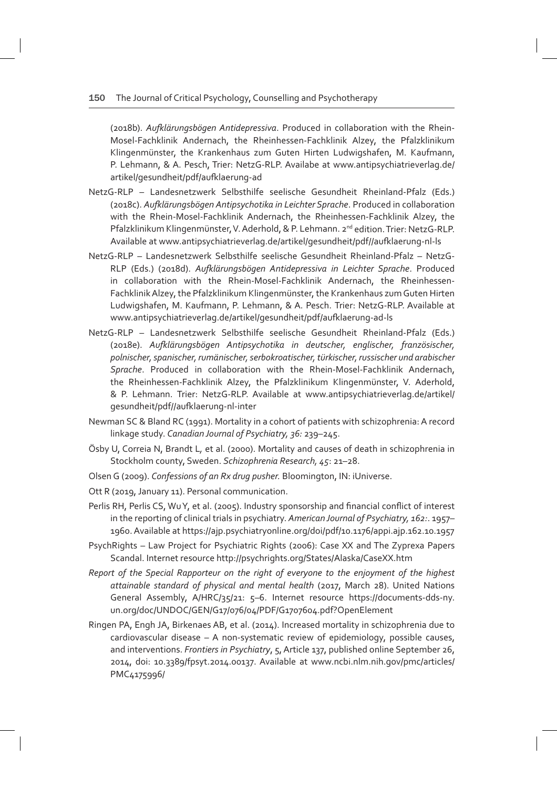(2018b). Aufklärungsbögen Antidepressiva. Produced in collaboration with the Rhein-Mosel-Fachklinik Andernach, the Rheinhessen-Fachklinik Alzey, the Pfalzklinikum Klingenmünster, the Krankenhaus zum Guten Hirten Ludwigshafen, M. Kaufmann, P. Lehmann, & A. Pesch, Trier: NetzG-RLP. Availabe at www.antipsychiatrieverlag.de/ artikel/gesundheit/pdf/aufklaerung-ad

- NetzG-RLP Landesnetzwerk Selbsthilfe seelische Gesundheit Rheinland-Pfalz (Eds.) (2018c). Aufklärungsbögen Antipsychotika in Leichter Sprache. Produced in collaboration with the Rhein-Mosel-Fachklinik Andernach, the Rheinhessen-Fachklinik Alzey, the Pfalzklinikum Klingenmünster, V. Aderhold, & P. Lehmann. 2nd edition. Trier: NetzG-RLP. Available at www.antipsychiatrieverlag.de/artikel/gesundheit/pdf//aufklaerung-nl-ls
- NetzG-RLP Landesnetzwerk Selbsthilfe seelische Gesundheit Rheinland-Pfalz NetzG-RLP (Eds.) (2018d). Aufklärungsbögen Antidepressiva in Leichter Sprache. Produced in collaboration with the Rhein-Mosel-Fachklinik Andernach, the Rheinhessen-Fachklinik Alzey, the Pfalzklinikum Klingenmünster, the Krankenhaus zum Guten Hirten Ludwigshafen, M. Kaufmann, P. Lehmann, & A. Pesch. Trier: NetzG-RLP. Available at www.antipsychiatrieverlag.de/artikel/gesundheit/pdf/aufklaerung-ad-ls
- NetzG-RLP Landesnetzwerk Selbsthilfe seelische Gesundheit Rheinland-Pfalz (Eds.) (2018e). Aufklärungsbögen Antipsychotika in deutscher, englischer, französischer, *polnischer, spanischer, rumänischer, serbokroatischer, türkischer, russischer und arabischer Sprache*. Produced in collaboration with the Rhein-Mosel-Fachklinik Andernach, the Rheinhessen-Fachklinik Alzey, the Pfalzklinikum Klingenmünster, V. Aderhold, & P. Lehmann. Trier: NetzG-RLP. Available at www.antipsychiatrieverlag.de/artikel/ gesundheit/pdf//aufklaerung-nl-inter
- Newman SC & Bland RC (1991). Mortality in a cohort of patients with schizophrenia: A record linkage study. *Canadian Journal of Psychiatry, 36:* 239–245.
- Ösby U, Correia N, Brandt L*,* et al. (2000). Mortality and causes of death in schizophrenia in Stockholm county, Sweden. *Schizophrenia Research, 45*: 21–28.
- Olsen G (2009). *Confessions of an Rx drug pusher.* Bloomington, IN: iUniverse.
- Ott R (2019, January 11). Personal communication.
- Perlis RH, Perlis CS, Wu Y, et al. (2005). Industry sponsorship and financial conflict of interest in the reporting of clinical trials in psychiatry. *American Journal of Psychiatry, 162:*. 1957– 1960. Available at https://ajp.psychiatryonline.org/doi/pdf/10.1176/appi.ajp.162.10.1957
- PsychRights Law Project for Psychiatric Rights (2006): Case XX and The Zyprexa Papers Scandal. Internet resource http://psychrights.org/States/Alaska/CaseXX.htm
- *Report of the Special Rapporteur on the right of everyone to the enjoyment of the highest attainable standard of physical and mental health* (2017, March 28). United Nations General Assembly, A/HRC/35/21: 5–6. Internet resource https://documents-dds-ny. un.org/doc/UNDOC/GEN/G17/076/04/PDF/G1707604.pdf?OpenElement
- Ringen PA, Engh JA, Birkenaes AB, et al. (2014). Increased mortality in schizophrenia due to cardiovascular disease – A non-systematic review of epidemiology, possible causes, and interventions. *Frontiers in Psychiatry*, 5, Article 137, published online September 26, 2014, doi: 10.3389/fpsyt.2014.00137. Available at www.ncbi.nlm.nih.gov/pmc/articles/ PMC4175996/